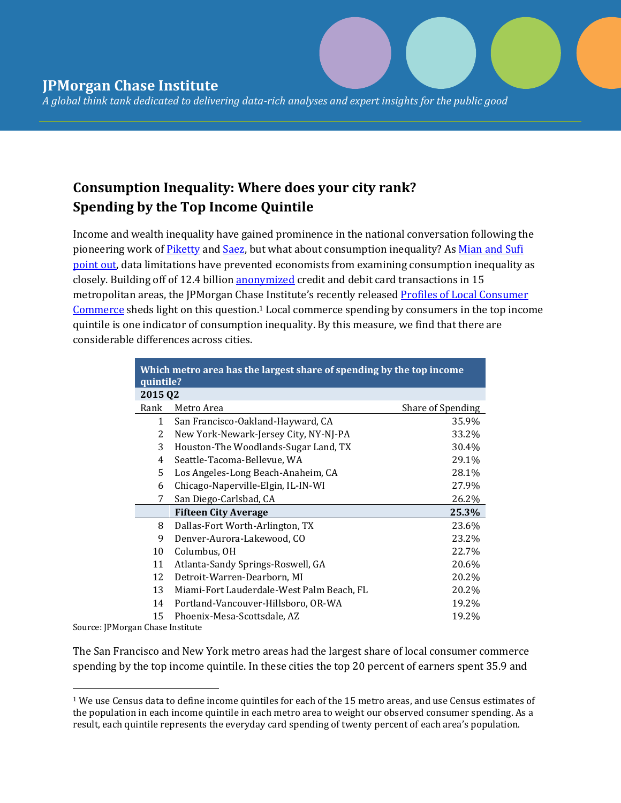*A global think tank dedicated to delivering data-rich analyses and expert insights for the public good* 

## **Consumption Inequality: Where does your city rank? Spending by the Top Income Quintile**

Income and wealth inequality have gained prominence in the national conversation following the pioneering work of [Piketty](http://piketty.pse.ens.fr/en/capital21c2) and [Saez,](http://eml.berkeley.edu/~saez/) but what about consumption inequality? As Mian and Sufi [point](http://houseofdebt.org/2014/04/22/consumption-inequality.html) out, data limitations have prevented economists from examining consumption inequality as closely. Building off of 12.4 billion [anonymized](https://www.jpmorganchase.com/corporate/institute/data-privacy.htm) credit and debit card transactions in 15 metropolitan areas, the JPMorgan Chase Institute's recently released Profiles of Local Consumer [Commerce](https://www.jpmorganchase.com/corporate/institute/report-profiles-of-local-commerce.htm) sheds light on this question.<sup>1</sup> Local commerce spending by consumers in the top income quintile is one indicator of consumption inequality. By this measure, we find that there are considerable differences across cities.

| Which metro area has the largest share of spending by the top income<br>quintile? |                                           |                   |
|-----------------------------------------------------------------------------------|-------------------------------------------|-------------------|
| 2015 Q2                                                                           |                                           |                   |
| Rank                                                                              | Metro Area                                | Share of Spending |
| $\mathbf{1}$                                                                      | San Francisco-Oakland-Hayward, CA         | 35.9%             |
| 2                                                                                 | New York-Newark-Jersey City, NY-NJ-PA     | 33.2%             |
| 3                                                                                 | Houston-The Woodlands-Sugar Land, TX      | 30.4%             |
| 4                                                                                 | Seattle-Tacoma-Bellevue, WA               | 29.1%             |
| 5                                                                                 | Los Angeles-Long Beach-Anaheim, CA        | 28.1%             |
| 6                                                                                 | Chicago-Naperville-Elgin, IL-IN-WI        | 27.9%             |
| 7                                                                                 | San Diego-Carlsbad, CA                    | 26.2%             |
|                                                                                   | <b>Fifteen City Average</b>               | 25.3%             |
| 8                                                                                 | Dallas-Fort Worth-Arlington, TX           | 23.6%             |
| 9                                                                                 | Denver-Aurora-Lakewood, CO                | 23.2%             |
| 10                                                                                | Columbus, OH                              | 22.7%             |
| 11                                                                                | Atlanta-Sandy Springs-Roswell, GA         | 20.6%             |
| 12                                                                                | Detroit-Warren-Dearborn, MI               | 20.2%             |
| 13                                                                                | Miami-Fort Lauderdale-West Palm Beach, FL | 20.2%             |
| 14                                                                                | Portland-Vancouver-Hillsboro, OR-WA       | 19.2%             |
| 15                                                                                | Phoenix-Mesa-Scottsdale, AZ               | 19.2%             |

Source: JPMorgan Chase Institute

 $\overline{\phantom{a}}$ 

The San Francisco and New York metro areas had the largest share of local consumer commerce spending by the top income quintile. In these cities the top 20 percent of earners spent 35.9 and

<sup>1</sup> We use Census data to define income quintiles for each of the 15 metro areas, and use Census estimates of the population in each income quintile in each metro area to weight our observed consumer spending. As a result, each quintile represents the everyday card spending of twenty percent of each area's population.